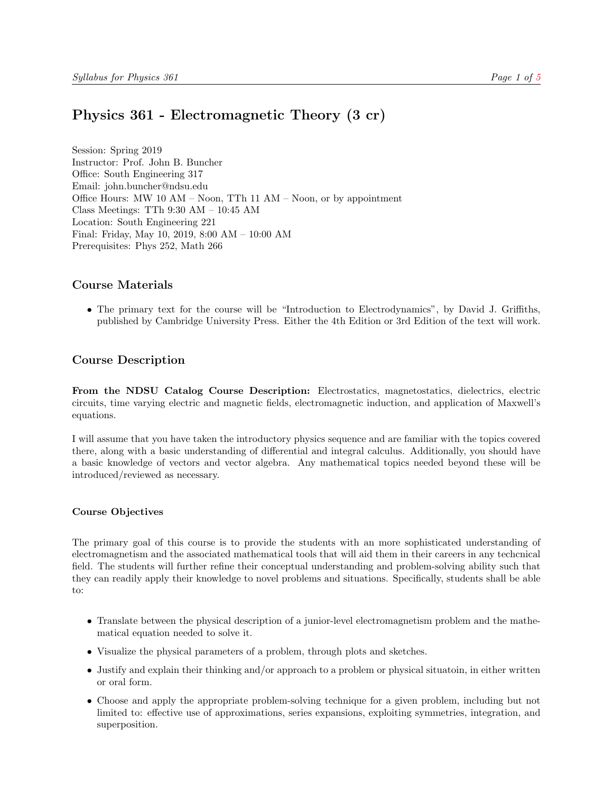# <span id="page-0-0"></span>Physics 361 - Electromagnetic Theory (3 cr)

Session: Spring 2019 Instructor: Prof. John B. Buncher Office: South Engineering 317 Email: john.buncher@ndsu.edu Office Hours: MW 10 AM – Noon, TTh 11 AM – Noon, or by appointment Class Meetings: TTh 9:30 AM – 10:45 AM Location: South Engineering 221 Final: Friday, May 10, 2019, 8:00 AM – 10:00 AM Prerequisites: Phys 252, Math 266

## Course Materials

• The primary text for the course will be "Introduction to Electrodynamics", by David J. Griffiths, published by Cambridge University Press. Either the 4th Edition or 3rd Edition of the text will work.

# Course Description

From the NDSU Catalog Course Description: Electrostatics, magnetostatics, dielectrics, electric circuits, time varying electric and magnetic fields, electromagnetic induction, and application of Maxwell's equations.

I will assume that you have taken the introductory physics sequence and are familiar with the topics covered there, along with a basic understanding of differential and integral calculus. Additionally, you should have a basic knowledge of vectors and vector algebra. Any mathematical topics needed beyond these will be introduced/reviewed as necessary.

#### Course Objectives

The primary goal of this course is to provide the students with an more sophisticated understanding of electromagnetism and the associated mathematical tools that will aid them in their careers in any techcnical field. The students will further refine their conceptual understanding and problem-solving ability such that they can readily apply their knowledge to novel problems and situations. Specifically, students shall be able to:

- Translate between the physical description of a junior-level electromagnetism problem and the mathematical equation needed to solve it.
- Visualize the physical parameters of a problem, through plots and sketches.
- Justify and explain their thinking and/or approach to a problem or physical situatoin, in either written or oral form.
- Choose and apply the appropriate problem-solving technique for a given problem, including but not limited to: effective use of approximations, series expansions, exploiting symmetries, integration, and superposition.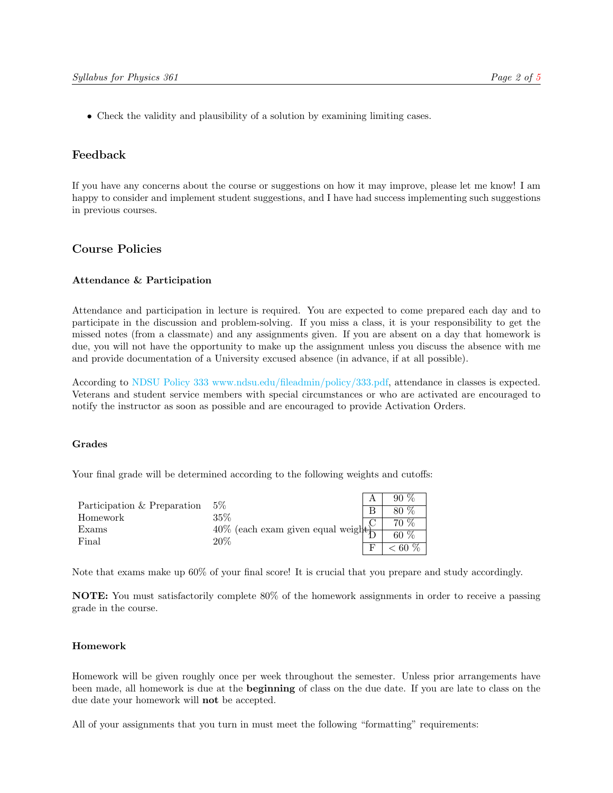• Check the validity and plausibility of a solution by examining limiting cases.

## Feedback

If you have any concerns about the course or suggestions on how it may improve, please let me know! I am happy to consider and implement student suggestions, and I have had success implementing such suggestions in previous courses.

# Course Policies

#### Attendance & Participation

Attendance and participation in lecture is required. You are expected to come prepared each day and to participate in the discussion and problem-solving. If you miss a class, it is your responsibility to get the missed notes (from a classmate) and any assignments given. If you are absent on a day that homework is due, you will not have the opportunity to make up the assignment unless you discuss the absence with me and provide documentation of a University excused absence (in advance, if at all possible).

According to [NDSU Policy 333](#page-0-0) [www.ndsu.edu/fileadmin/policy/333.pdf,](#page-0-0) attendance in classes is expected. Veterans and student service members with special circumstances or who are activated are encouraged to notify the instructor as soon as possible and are encouraged to provide Activation Orders.

#### Grades

Your final grade will be determined according to the following weights and cutoffs:

|                             | $5\%$                                 | $90\%$ |
|-----------------------------|---------------------------------------|--------|
| Participation & Preparation |                                       | 80 %   |
| Homework                    | 35\%                                  | 70 %   |
| Exams                       | $40\%$ (each exam given equal weight) |        |
| Final                       | 20%                                   | 60 $%$ |
|                             |                                       | $60\%$ |

Note that exams make up 60% of your final score! It is crucial that you prepare and study accordingly.

NOTE: You must satisfactorily complete 80% of the homework assignments in order to receive a passing grade in the course.

#### Homework

Homework will be given roughly once per week throughout the semester. Unless prior arrangements have been made, all homework is due at the **beginning** of class on the due date. If you are late to class on the due date your homework will not be accepted.

All of your assignments that you turn in must meet the following "formatting" requirements: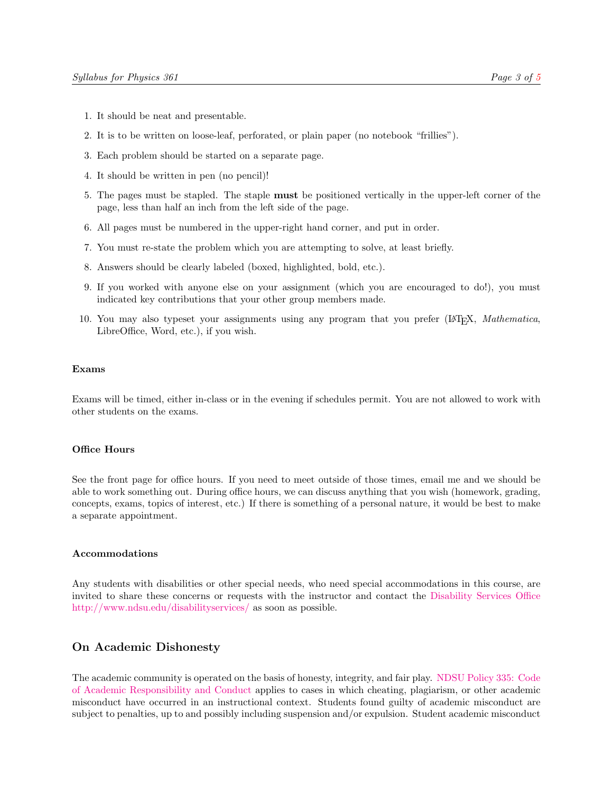- 1. It should be neat and presentable.
- 2. It is to be written on loose-leaf, perforated, or plain paper (no notebook "frillies").
- 3. Each problem should be started on a separate page.
- 4. It should be written in pen (no pencil)!
- 5. The pages must be stapled. The staple must be positioned vertically in the upper-left corner of the page, less than half an inch from the left side of the page.
- 6. All pages must be numbered in the upper-right hand corner, and put in order.
- 7. You must re-state the problem which you are attempting to solve, at least briefly.
- 8. Answers should be clearly labeled (boxed, highlighted, bold, etc.).
- 9. If you worked with anyone else on your assignment (which you are encouraged to do!), you must indicated key contributions that your other group members made.
- 10. You may also typeset your assignments using any program that you prefer (LATEX, Mathematica, LibreOffice, Word, etc.), if you wish.

#### Exams

Exams will be timed, either in-class or in the evening if schedules permit. You are not allowed to work with other students on the exams.

#### Office Hours

See the front page for office hours. If you need to meet outside of those times, email me and we should be able to work something out. During office hours, we can discuss anything that you wish (homework, grading, concepts, exams, topics of interest, etc.) If there is something of a personal nature, it would be best to make a separate appointment.

#### Accommodations

Any students with disabilities or other special needs, who need special accommodations in this course, are invited to share these concerns or requests with the instructor and contact the [Disability Services Office](http://www.ndsu.edu/disabilityservices) [http://www.ndsu.edu/disabilityservices/](http://www.ndsu.edu/disabilityservices) as soon as possible.

## On Academic Dishonesty

The academic community is operated on the basis of honesty, integrity, and fair play. [NDSU Policy 335:](http://www.ndsu.edu/fileadmin/policy/335.pdf) [Code](http://www.ndsu.edu/fileadmin/policy/335.pdf) [of Academic Responsibility and Conduct](http://www.ndsu.edu/fileadmin/policy/335.pdf) applies to cases in which cheating, plagiarism, or other academic misconduct have occurred in an instructional context. Students found guilty of academic misconduct are subject to penalties, up to and possibly including suspension and/or expulsion. Student academic misconduct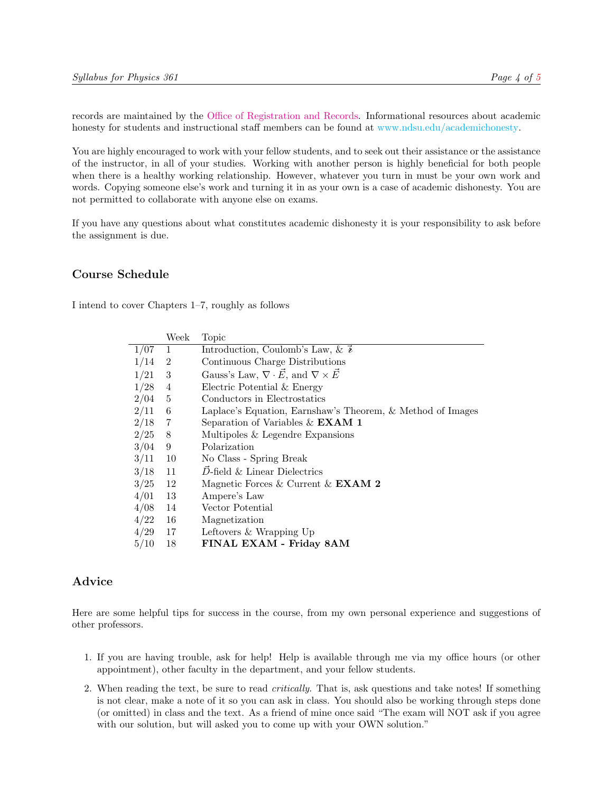records are maintained by the [Office of Registration and Records.](http://www.ndsu.edu/registrar) Informational resources about academic honesty for students and instructional staff members can be found at [www.ndsu.edu/academichonesty.](#page-0-0)

You are highly encouraged to work with your fellow students, and to seek out their assistance or the assistance of the instructor, in all of your studies. Working with another person is highly beneficial for both people when there is a healthy working relationship. However, whatever you turn in must be your own work and words. Copying someone else's work and turning it in as your own is a case of academic dishonesty. You are not permitted to collaborate with anyone else on exams.

If you have any questions about what constitutes academic dishonesty it is your responsibility to ask before the assignment is due.

# Course Schedule

I intend to cover Chapters 1–7, roughly as follows

|      | Week           | Topic                                                             |
|------|----------------|-------------------------------------------------------------------|
| 1/07 | 1              | Introduction, Coulomb's Law, & $\bar{\mathbf{z}}$                 |
| 1/14 | $\overline{2}$ | Continuous Charge Distributions                                   |
| 1/21 | 3              | Gauss's Law, $\nabla \cdot \vec{E}$ , and $\nabla \times \vec{E}$ |
| 1/28 | 4              | Electric Potential & Energy                                       |
| 2/04 | 5              | Conductors in Electrostatics                                      |
| 2/11 | 6              | Laplace's Equation, Earnshaw's Theorem, & Method of Images        |
| 2/18 | 7              | Separation of Variables $\&$ <b>EXAM 1</b>                        |
| 2/25 | - 8            | Multipoles & Legendre Expansions                                  |
| 3/04 | 9              | Polarization                                                      |
| 3/11 | 10             | No Class - Spring Break                                           |
| 3/18 | 11             | $D$ -field & Linear Dielectrics                                   |
| 3/25 | 12             | Magnetic Forces & Current & $EXAMPLE XAM$ 2                       |
| 4/01 | 13             | Ampere's Law                                                      |
| 4/08 | 14             | Vector Potential                                                  |
| 4/22 | 16             | Magnetization                                                     |
| 4/29 | 17             | Leftovers & Wrapping Up                                           |
| 5/10 | 18             | FINAL EXAM - Friday 8AM                                           |

## Advice

Here are some helpful tips for success in the course, from my own personal experience and suggestions of other professors.

- 1. If you are having trouble, ask for help! Help is available through me via my office hours (or other appointment), other faculty in the department, and your fellow students.
- 2. When reading the text, be sure to read critically. That is, ask questions and take notes! If something is not clear, make a note of it so you can ask in class. You should also be working through steps done (or omitted) in class and the text. As a friend of mine once said "The exam will NOT ask if you agree with our solution, but will asked you to come up with your OWN solution."